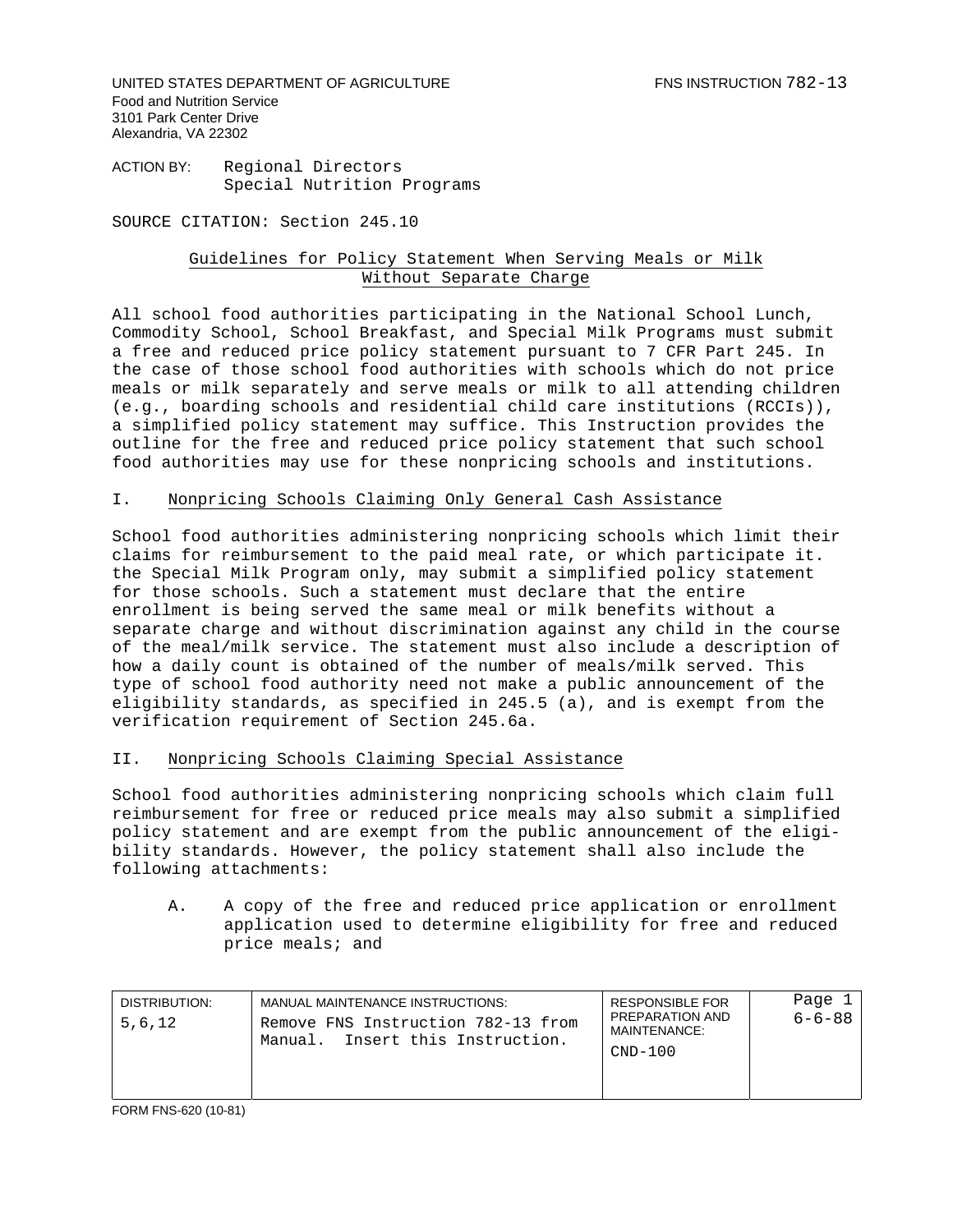UNITED STATES DEPARTMENT OF AGRICULTURE FING INSTRUCTION 782-13 Food and Nutrition Service 3101 Park Center Drive Alexandria, VA 22302

ACTION BY: Regional Directors Special Nutrition Programs

SOURCE CITATION: Section 245.10

## Guidelines for Policy Statement When Serving Meals or Milk Without Separate Charge

All school food authorities participating in the National School Lunch, Commodity School, School Breakfast, and Special Milk Programs must submit a free and reduced price policy statement pursuant to 7 CFR Part 245. In the case of those school food authorities with schools which do not price meals or milk separately and serve meals or milk to all attending children (e.g., boarding schools and residential child care institutions (RCCIs)), a simplified policy statement may suffice. This Instruction provides the outline for the free and reduced price policy statement that such school food authorities may use for these nonpricing schools and institutions.

## I. Nonpricing Schools Claiming Only General Cash Assistance

School food authorities administering nonpricing schools which limit their claims for reimbursement to the paid meal rate, or which participate it. the Special Milk Program only, may submit a simplified policy statement for those schools. Such a statement must declare that the entire enrollment is being served the same meal or milk benefits without a separate charge and without discrimination against any child in the course of the meal/milk service. The statement must also include a description of how a daily count is obtained of the number of meals/milk served. This type of school food authority need not make a public announcement of the eligibility standards, as specified in 245.5 (a), and is exempt from the verification requirement of Section 245.6a.

## II. Nonpricing Schools Claiming Special Assistance

School food authorities administering nonpricing schools which claim full reimbursement for free or reduced price meals may also submit a simplified policy statement and are exempt from the public announcement of the eligibility standards. However, the policy statement shall also include the following attachments:

A. A copy of the free and reduced price application or enrollment application used to determine eligibility for free and reduced price meals; and

| DISTRIBUTION:<br>5.6.12 | MANUAL MAINTENANCE INSTRUCTIONS:<br>Remove FNS Instruction 782-13 from<br>Manual. Insert this Instruction. | <b>RESPONSIBLE FOR</b><br>PREPARATION AND<br>MAINTENANCE:<br>$CND-100$ | Page<br>$6 - 6 - 88$ |
|-------------------------|------------------------------------------------------------------------------------------------------------|------------------------------------------------------------------------|----------------------|
|-------------------------|------------------------------------------------------------------------------------------------------------|------------------------------------------------------------------------|----------------------|